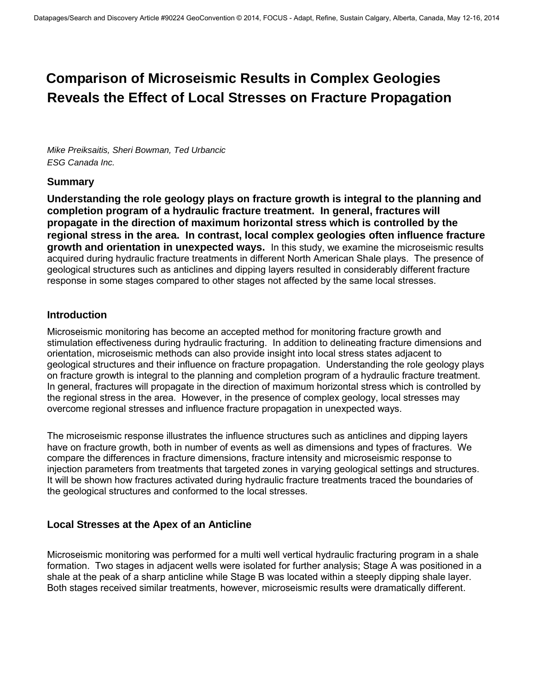# **Comparison of Microseismic Results in Complex Geologies Reveals the Effect of Local Stresses on Fracture Propagation**

*Mike Preiksaitis, Sheri Bowman, Ted Urbancic ESG Canada Inc.* 

#### **Summary**

**Understanding the role geology plays on fracture growth is integral to the planning and completion program of a hydraulic fracture treatment. In general, fractures will propagate in the direction of maximum horizontal stress which is controlled by the regional stress in the area. In contrast, local complex geologies often influence fracture growth and orientation in unexpected ways.** In this study, we examine the microseismic results acquired during hydraulic fracture treatments in different North American Shale plays. The presence of geological structures such as anticlines and dipping layers resulted in considerably different fracture response in some stages compared to other stages not affected by the same local stresses.

#### **Introduction**

Microseismic monitoring has become an accepted method for monitoring fracture growth and stimulation effectiveness during hydraulic fracturing. In addition to delineating fracture dimensions and orientation, microseismic methods can also provide insight into local stress states adjacent to geological structures and their influence on fracture propagation. Understanding the role geology plays on fracture growth is integral to the planning and completion program of a hydraulic fracture treatment. In general, fractures will propagate in the direction of maximum horizontal stress which is controlled by the regional stress in the area. However, in the presence of complex geology, local stresses may overcome regional stresses and influence fracture propagation in unexpected ways.

The microseismic response illustrates the influence structures such as anticlines and dipping layers have on fracture growth, both in number of events as well as dimensions and types of fractures. We compare the differences in fracture dimensions, fracture intensity and microseismic response to injection parameters from treatments that targeted zones in varying geological settings and structures. It will be shown how fractures activated during hydraulic fracture treatments traced the boundaries of the geological structures and conformed to the local stresses.

### **Local Stresses at the Apex of an Anticline**

Microseismic monitoring was performed for a multi well vertical hydraulic fracturing program in a shale formation. Two stages in adjacent wells were isolated for further analysis; Stage A was positioned in a shale at the peak of a sharp anticline while Stage B was located within a steeply dipping shale layer. Both stages received similar treatments, however, microseismic results were dramatically different.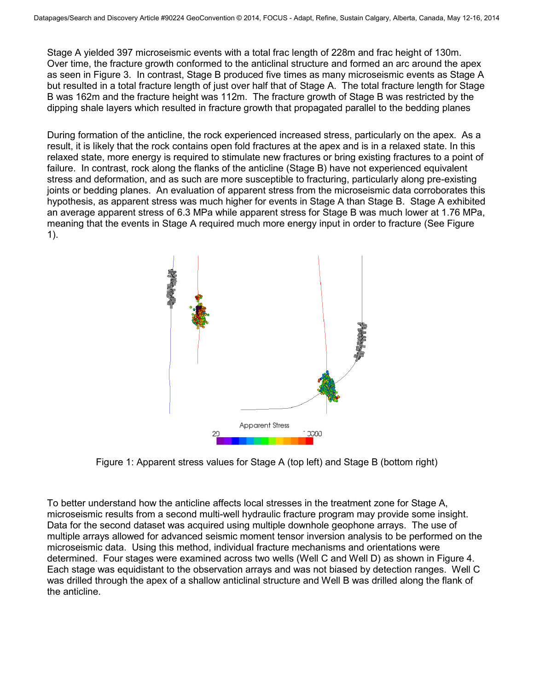Stage A yielded 397 microseismic events with a total frac length of 228m and frac height of 130m. Over time, the fracture growth conformed to the anticlinal structure and formed an arc around the apex as seen in Figure 3. In contrast, Stage B produced five times as many microseismic events as Stage A but resulted in a total fracture length of just over half that of Stage A. The total fracture length for Stage B was 162m and the fracture height was 112m. The fracture growth of Stage B was restricted by the dipping shale layers which resulted in fracture growth that propagated parallel to the bedding planes

During formation of the anticline, the rock experienced increased stress, particularly on the apex. As a result, it is likely that the rock contains open fold fractures at the apex and is in a relaxed state. In this relaxed state, more energy is required to stimulate new fractures or bring existing fractures to a point of failure. In contrast, rock along the flanks of the anticline (Stage B) have not experienced equivalent stress and deformation, and as such are more susceptible to fracturing, particularly along pre-existing joints or bedding planes. An evaluation of apparent stress from the microseismic data corroborates this hypothesis, as apparent stress was much higher for events in Stage A than Stage B. Stage A exhibited an average apparent stress of 6.3 MPa while apparent stress for Stage B was much lower at 1.76 MPa, meaning that the events in Stage A required much more energy input in order to fracture (See Figure 1).



Figure 1: Apparent stress values for Stage A (top left) and Stage B (bottom right)

To better understand how the anticline affects local stresses in the treatment zone for Stage A, microseismic results from a second multi-well hydraulic fracture program may provide some insight. Data for the second dataset was acquired using multiple downhole geophone arrays. The use of multiple arrays allowed for advanced seismic moment tensor inversion analysis to be performed on the microseismic data. Using this method, individual fracture mechanisms and orientations were determined. Four stages were examined across two wells (Well C and Well D) as shown in Figure 4. Each stage was equidistant to the observation arrays and was not biased by detection ranges. Well C was drilled through the apex of a shallow anticlinal structure and Well B was drilled along the flank of the anticline.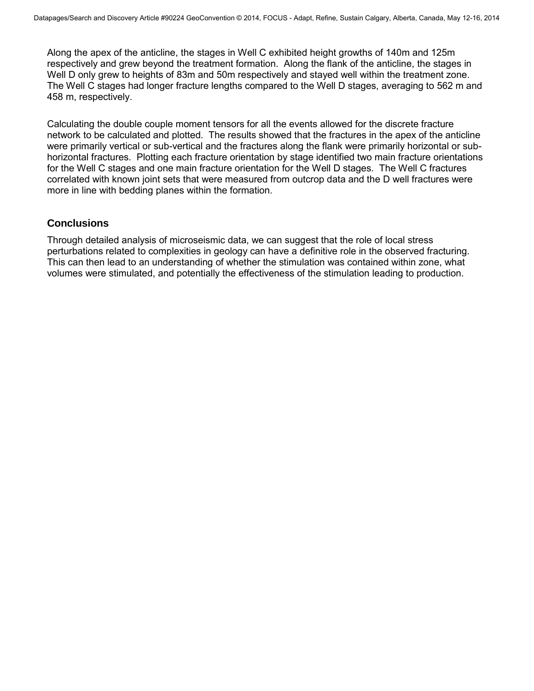Along the apex of the anticline, the stages in Well C exhibited height growths of 140m and 125m respectively and grew beyond the treatment formation. Along the flank of the anticline, the stages in Well D only grew to heights of 83m and 50m respectively and stayed well within the treatment zone. The Well C stages had longer fracture lengths compared to the Well D stages, averaging to 562 m and 458 m, respectively.

Calculating the double couple moment tensors for all the events allowed for the discrete fracture network to be calculated and plotted. The results showed that the fractures in the apex of the anticline were primarily vertical or sub-vertical and the fractures along the flank were primarily horizontal or subhorizontal fractures. Plotting each fracture orientation by stage identified two main fracture orientations for the Well C stages and one main fracture orientation for the Well D stages. The Well C fractures correlated with known joint sets that were measured from outcrop data and the D well fractures were more in line with bedding planes within the formation.

## **Conclusions**

Through detailed analysis of microseismic data, we can suggest that the role of local stress perturbations related to complexities in geology can have a definitive role in the observed fracturing. This can then lead to an understanding of whether the stimulation was contained within zone, what volumes were stimulated, and potentially the effectiveness of the stimulation leading to production.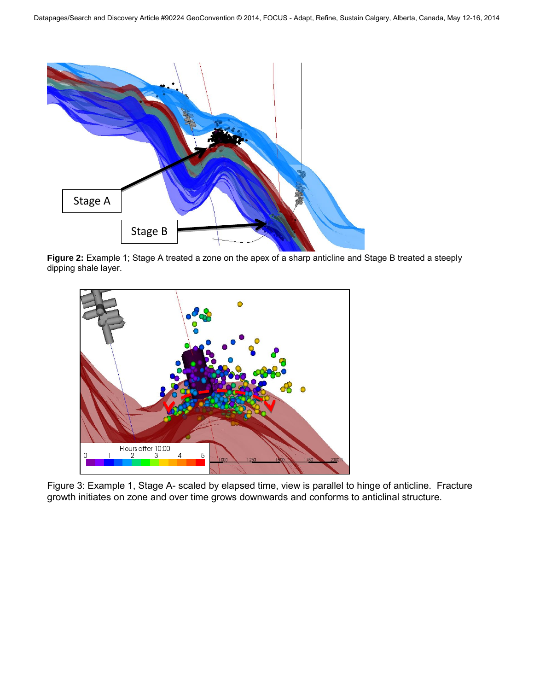

**Figure 2:** Example 1; Stage A treated a zone on the apex of a sharp anticline and Stage B treated a steeply dipping shale layer.



Figure 3: Example 1, Stage A- scaled by elapsed time, view is parallel to hinge of anticline. Fracture growth initiates on zone and over time grows downwards and conforms to anticlinal structure.